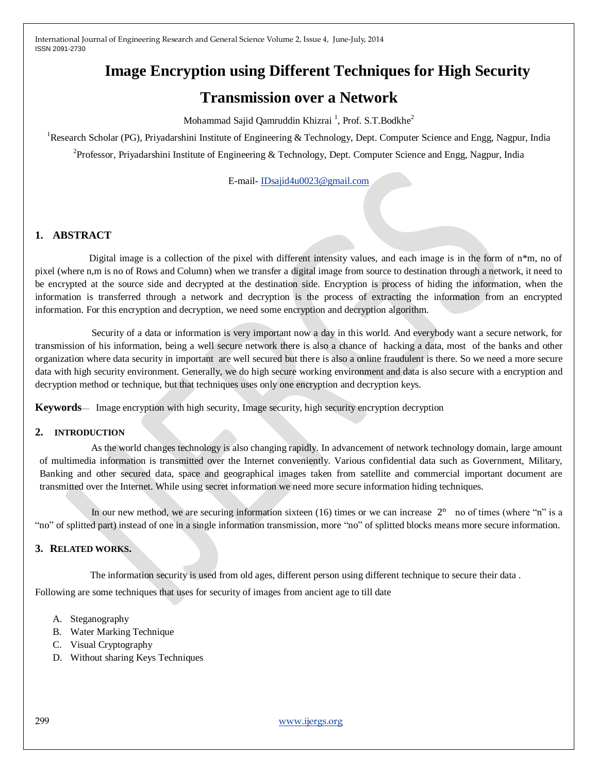# **Image Encryption using Different Techniques for High Security**

# **Transmission over a Network**

Mohammad Sajid Qamruddin Khizrai  $^1$ , Prof. S.T.Bodkhe $^2$ 

<sup>1</sup>Research Scholar (PG), Priyadarshini Institute of Engineering & Technology, Dept. Computer Science and Engg, Nagpur, India

<sup>2</sup> Professor, Priyadarshini Institute of Engineering & Technology, Dept. Computer Science and Engg, Nagpur, India

E-mail- [IDsajid4u0023@gmail.com](mailto:IDsajid4u0023@gmail.com)

# **1. ABSTRACT**

Digital image is a collection of the pixel with different intensity values, and each image is in the form of  $n*m$ , no of pixel (where n,m is no of Rows and Column) when we transfer a digital image from source to destination through a network, it need to be encrypted at the source side and decrypted at the destination side. Encryption is process of hiding the information, when the information is transferred through a network and decryption is the process of extracting the information from an encrypted information. For this encryption and decryption, we need some encryption and decryption algorithm.

 Security of a data or information is very important now a day in this world. And everybody want a secure network, for transmission of his information, being a well secure network there is also a chance of hacking a data, most of the banks and other organization where data security in important are well secured but there is also a online fraudulent is there. So we need a more secure data with high security environment. Generally, we do high secure working environment and data is also secure with a encryption and decryption method or technique, but that techniques uses only one encryption and decryption keys.

**Keywords**— Image encryption with high security, Image security, high security encryption decryption

## **2. INTRODUCTION**

 As the world changes technology is also changing rapidly. In advancement of network technology domain, large amount of multimedia information is transmitted over the Internet conveniently. Various confidential data such as Government, Military, Banking and other secured data, space and geographical images taken from satellite and commercial important document are transmitted over the Internet. While using secret information we need more secure information hiding techniques.

In our new method, we are securing information sixteen  $(16)$  times or we can increase  $2<sup>n</sup>$  no of times (where "n" is a "no" of splitted part) instead of one in a single information transmission, more "no" of splitted blocks means more secure information.

## **3. RELATED WORKS.**

The information security is used from old ages, different person using different technique to secure their data.

Following are some techniques that uses for security of images from ancient age to till date

- A. Steganography
- B. Water Marking Technique
- C. Visual Cryptography
- D. Without sharing Keys Techniques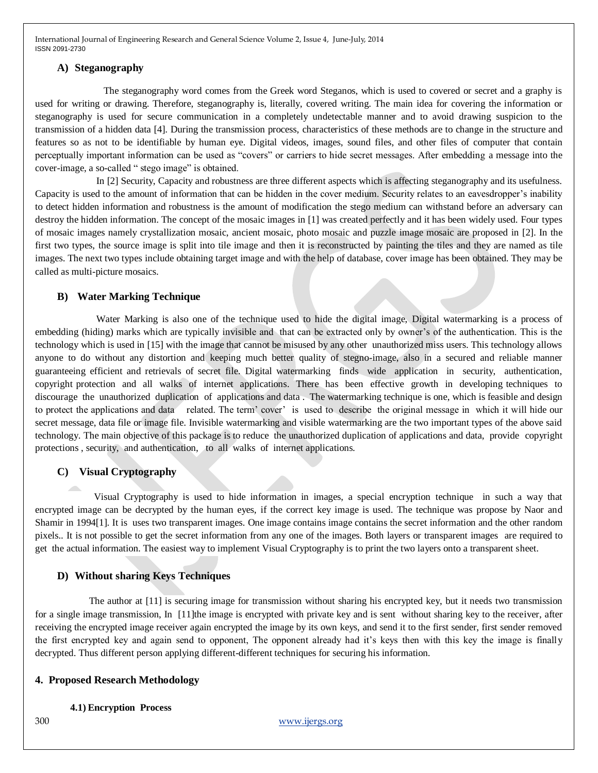#### **A) Steganography**

 The steganography word comes from the Greek word Steganos, which is used to covered or secret and a graphy is used for writing or drawing. Therefore, steganography is, literally, covered writing. The main idea for covering the information or steganography is used for secure communication in a completely undetectable manner and to avoid drawing suspicion to the transmission of a hidden data [4]. During the transmission process, characteristics of these methods are to change in the structure and features so as not to be identifiable by human eye. Digital videos, images, sound files, and other files of computer that contain perceptually important information can be used as "covers" or carriers to hide secret messages. After embedding a message into the cover-image, a so-called " stego image" is obtained.

 In [2] Security, Capacity and robustness are three different aspects which is affecting steganography and its usefulness. Capacity is used to the amount of information that can be hidden in the cover medium. Security relates to an eavesdropper's inability to detect hidden information and robustness is the amount of modification the stego medium can withstand before an adversary can destroy the hidden information. The concept of the mosaic images in [1] was created perfectly and it has been widely used. Four types of mosaic images namely crystallization mosaic, ancient mosaic, photo mosaic and puzzle image mosaic are proposed in [2]. In the first two types, the source image is split into tile image and then it is reconstructed by painting the tiles and they are named as tile images. The next two types include obtaining target image and with the help of database, cover image has been obtained. They may be called as multi-picture mosaics.

#### **B) Water Marking Technique**

 Water Marking is also one of the technique used to hide the digital image, Digital watermarking is a process of embedding (hiding) marks which are typically invisible and that can be extracted only by owner's of the authentication. This is the technology which is used in [15] with the image that cannot be misused by any other unauthorized miss users. This technology allows anyone to do without any distortion and keeping much better quality of stegno-image, also in a secured and reliable manner guaranteeing efficient and retrievals of secret file. Digital watermarking finds wide application in security, authentication, copyright protection and all walks of internet applications. There has been effective growth in developing techniques to discourage the unauthorized duplication of applications and data . The watermarking technique is one, which is feasible and design to protect the applications and data related. The term' cover' is used to describe the original message in which it will hide our secret message, data file or image file. Invisible watermarking and visible watermarking are the two important types of the above said technology. The main objective of this package is to reduce the unauthorized duplication of applications and data, provide copyright protections , security, and authentication, to all walks of internet applications.

### **C) Visual Cryptography**

 Visual Cryptography is used to hide information in images, a special encryption technique in such a way that encrypted image can be decrypted by the human eyes, if the correct key image is used. The technique was propose by Naor and Shamir in 1994[1]. It is uses two transparent images. One image contains image contains the secret information and the other random pixels.. It is not possible to get the secret information from any one of the images. Both layers or transparent images are required to get the actual information. The easiest way to implement Visual Cryptography is to print the two layers onto a transparent sheet.

#### **D) Without sharing Keys Techniques**

 The author at [11] is securing image for transmission without sharing his encrypted key, but it needs two transmission for a single image transmission, In [11]the image is encrypted with private key and is sent without sharing key to the receiver, after receiving the encrypted image receiver again encrypted the image by its own keys, and send it to the first sender, first sender removed the first encrypted key and again send to opponent, The opponent already had it's keys then with this key the image is finally decrypted. Thus different person applying different-different techniques for securing his information.

#### **4. Proposed Research Methodology**

#### **4.1) Encryption Process**

300 [www.ijergs.org](http://www.ijergs.org/)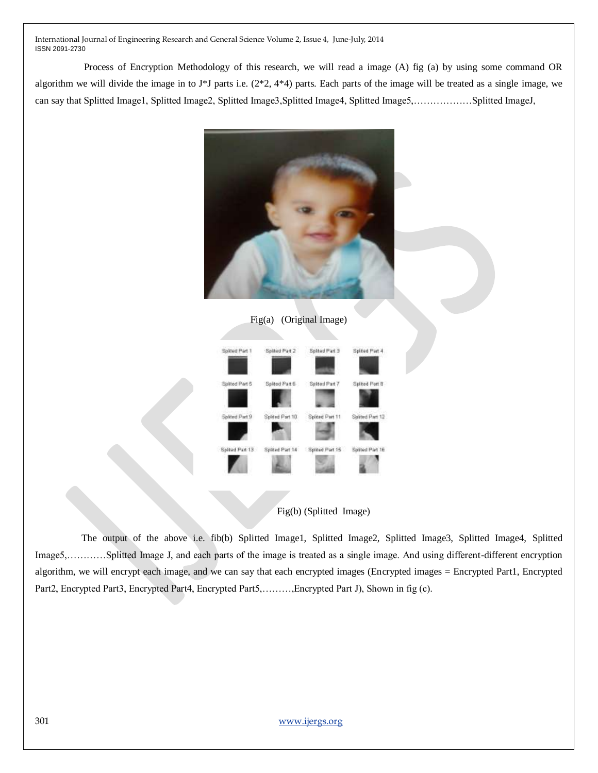Process of Encryption Methodology of this research, we will read a image (A) fig (a) by using some command OR algorithm we will divide the image in to J\*J parts i.e. (2\*2, 4\*4) parts. Each parts of the image will be treated as a single image, we can say that Splitted Image1, Splitted Image2, Splitted Image3,Splitted Image4, Splitted Image5,………………Splitted ImageJ,



Fig(a) (Original Image)





 The output of the above i.e. fib(b) Splitted Image1, Splitted Image2, Splitted Image3, Splitted Image4, Splitted Image5,…………Splitted Image J, and each parts of the image is treated as a single image. And using different-different encryption algorithm, we will encrypt each image, and we can say that each encrypted images (Encrypted images = Encrypted Part1, Encrypted Part2, Encrypted Part3, Encrypted Part4, Encrypted Part5,………,Encrypted Part J), Shown in fig (c).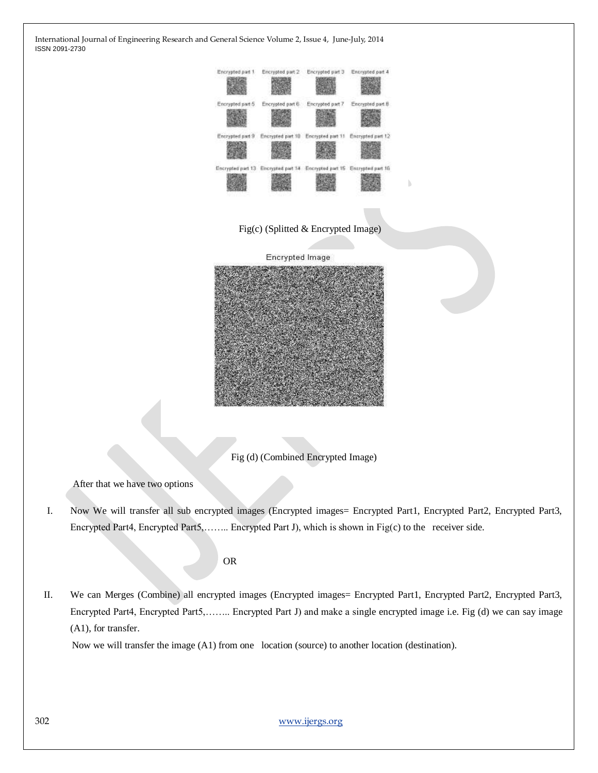

After that we have two options

I. Now We will transfer all sub encrypted images (Encrypted images= Encrypted Part1, Encrypted Part2, Encrypted Part3, Encrypted Part4, Encrypted Part5,…….. Encrypted Part J), which is shown in Fig(c) to the receiver side.

OR

II. We can Merges (Combine) all encrypted images (Encrypted images= Encrypted Part1, Encrypted Part2, Encrypted Part3, Encrypted Part4, Encrypted Part5,…….. Encrypted Part J) and make a single encrypted image i.e. Fig (d) we can say image (A1), for transfer.

Now we will transfer the image (A1) from one location (source) to another location (destination).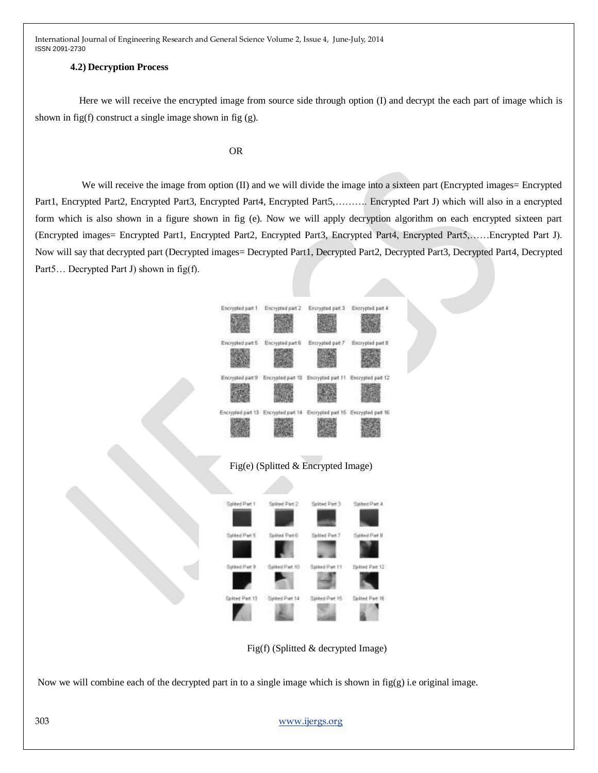#### **4.2) Decryption Process**

 Here we will receive the encrypted image from source side through option (I) and decrypt the each part of image which is shown in fig(f) construct a single image shown in fig (g).

#### OR

We will receive the image from option (II) and we will divide the image into a sixteen part (Encrypted images= Encrypted Part1, Encrypted Part2, Encrypted Part3, Encrypted Part4, Encrypted Part5,………. Encrypted Part J) which will also in a encrypted form which is also shown in a figure shown in fig (e). Now we will apply decryption algorithm on each encrypted sixteen part (Encrypted images= Encrypted Part1, Encrypted Part2, Encrypted Part3, Encrypted Part4, Encrypted Part5,……Encrypted Part J). Now will say that decrypted part (Decrypted images= Decrypted Part1, Decrypted Part2, Decrypted Part3, Decrypted Part4, Decrypted Part5... Decrypted Part J) shown in fig(f).



# Fig(e) (Splitted & Encrypted Image)



Fig(f) (Splitted & decrypted Image)

Now we will combine each of the decrypted part in to a single image which is shown in  $fig(g)$  i.e original image.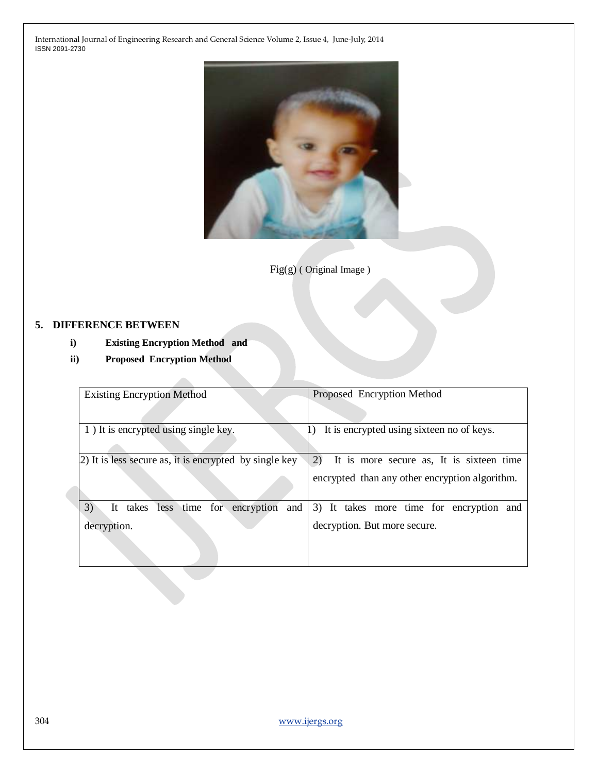

Fig(g) ( Original Image )

# **5. DIFFERENCE BETWEEN**

- **i) Existing Encryption Method and**
- **ii) Proposed Encryption Method**

| <b>Existing Encryption Method</b>                       | Proposed Encryption Method                     |
|---------------------------------------------------------|------------------------------------------------|
|                                                         |                                                |
| 1) It is encrypted using single key.                    | It is encrypted using sixteen no of keys.      |
|                                                         |                                                |
| (2) It is less secure as, it is encrypted by single key | 2)<br>It is more secure as, It is sixteen time |
|                                                         | encrypted than any other encryption algorithm. |
| 3)<br>less time for encryption<br>takes<br>It<br>and    | 3) It takes more time for encryption and       |
| decryption.                                             | decryption. But more secure.                   |
|                                                         |                                                |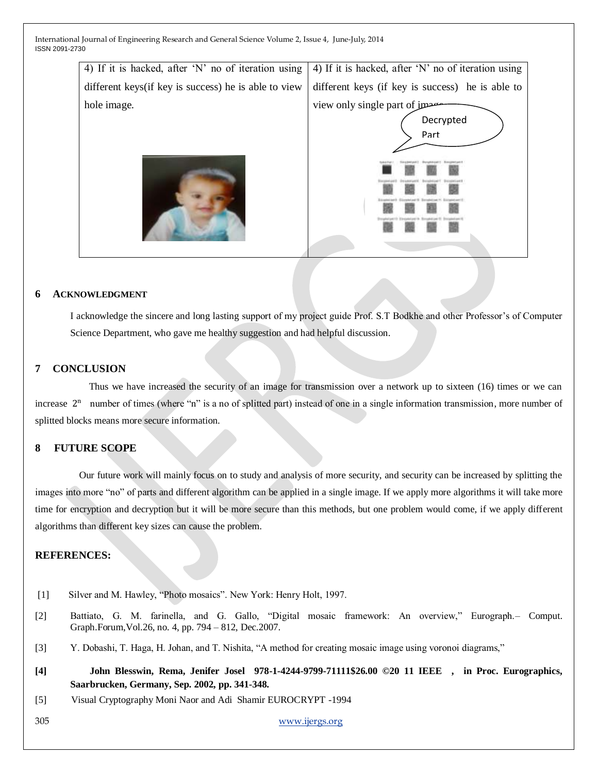

#### **6 ACKNOWLEDGMENT**

I acknowledge the sincere and long lasting support of my project guide Prof. S.T Bodkhe and other Professor's of Computer Science Department, who gave me healthy suggestion and had helpful discussion.

## **7 CONCLUSION**

 Thus we have increased the security of an image for transmission over a network up to sixteen (16) times or we can increase  $2<sup>n</sup>$  number of times (where "n" is a no of splitted part) instead of one in a single information transmission, more number of splitted blocks means more secure information.

## **8 FUTURE SCOPE**

 Our future work will mainly focus on to study and analysis of more security, and security can be increased by splitting the images into more "no" of parts and different algorithm can be applied in a single image. If we apply more algorithms it will take more time for encryption and decryption but it will be more secure than this methods, but one problem would come, if we apply different algorithms than different key sizes can cause the problem.

# **REFERENCES:**

- [1] Silver and M. Hawley, "Photo mosaics". New York: Henry Holt, 1997.
- [2] Battiato, G. M. farinella, and G. Gallo, "Digital mosaic framework: An overview," Eurograph. Comput. Graph.Forum,Vol.26, no. 4, pp. 794 – 812, Dec.2007.
- [3] Y. Dobashi, T. Haga, H. Johan, and T. Nishita, "A method for creating mosaic image using voronoi diagrams,"
- **[4] John Blesswin, Rema, Jenifer Josel 978-1-4244-9799-71111\$26.00 ©20 11 IEEE , in Proc. Eurographics, Saarbrucken, Germany, Sep. 2002, pp. 341-348.**
- [5] Visual Cryptography Moni Naor and Adi Shamir EUROCRYPT -1994

305 [www.ijergs.org](http://www.ijergs.org/)